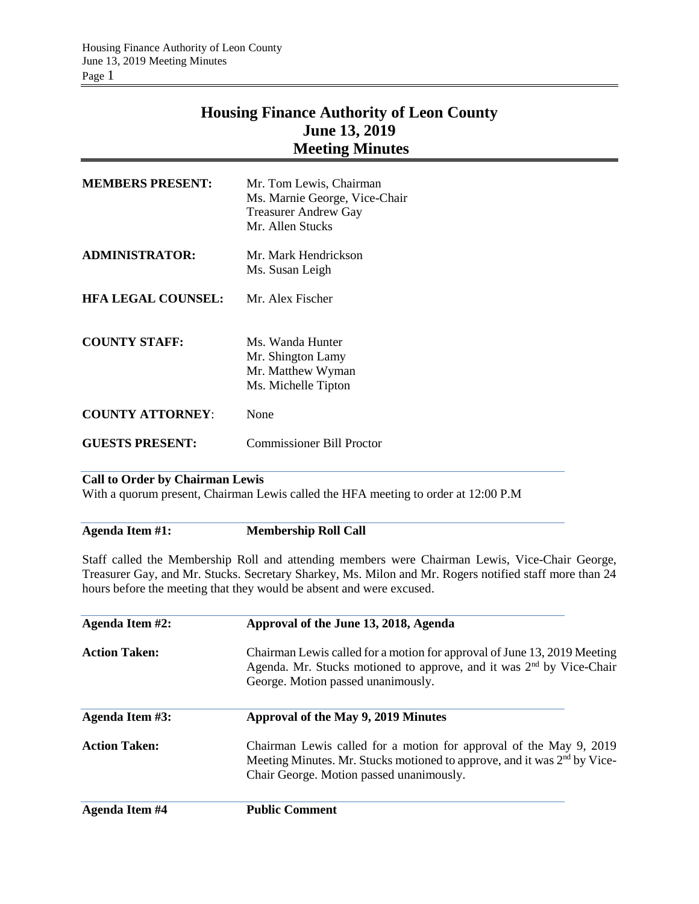# **Housing Finance Authority of Leon County June 13, 2019 Meeting Minutes**

| <b>MEMBERS PRESENT:</b>   | Mr. Tom Lewis, Chairman<br>Ms. Marnie George, Vice-Chair<br><b>Treasurer Andrew Gay</b><br>Mr. Allen Stucks |
|---------------------------|-------------------------------------------------------------------------------------------------------------|
| <b>ADMINISTRATOR:</b>     | Mr. Mark Hendrickson<br>Ms. Susan Leigh                                                                     |
| <b>HFA LEGAL COUNSEL:</b> | Mr. Alex Fischer                                                                                            |
| <b>COUNTY STAFF:</b>      | Ms. Wanda Hunter<br>Mr. Shington Lamy<br>Mr. Matthew Wyman<br>Ms. Michelle Tipton                           |
| <b>COUNTY ATTORNEY:</b>   | None                                                                                                        |
| <b>GUESTS PRESENT:</b>    | Commissioner Bill Proctor                                                                                   |

## **Call to Order by Chairman Lewis**

With a quorum present, Chairman Lewis called the HFA meeting to order at 12:00 P.M

**Agenda Item #1: Membership Roll Call**

Staff called the Membership Roll and attending members were Chairman Lewis, Vice-Chair George, Treasurer Gay, and Mr. Stucks. Secretary Sharkey, Ms. Milon and Mr. Rogers notified staff more than 24 hours before the meeting that they would be absent and were excused.

| Agenda Item #2:      | Approval of the June 13, 2018, Agenda                                                                                                                                                                  |  |  |  |
|----------------------|--------------------------------------------------------------------------------------------------------------------------------------------------------------------------------------------------------|--|--|--|
| <b>Action Taken:</b> | Chairman Lewis called for a motion for approval of June 13, 2019 Meeting<br>Agenda. Mr. Stucks motioned to approve, and it was 2 <sup>nd</sup> by Vice-Chair<br>George. Motion passed unanimously.     |  |  |  |
| Agenda Item #3:      | Approval of the May 9, 2019 Minutes                                                                                                                                                                    |  |  |  |
| <b>Action Taken:</b> | Chairman Lewis called for a motion for approval of the May 9, 2019<br>Meeting Minutes. Mr. Stucks motioned to approve, and it was 2 <sup>nd</sup> by Vice-<br>Chair George. Motion passed unanimously. |  |  |  |
| Agenda Item #4       | <b>Public Comment</b>                                                                                                                                                                                  |  |  |  |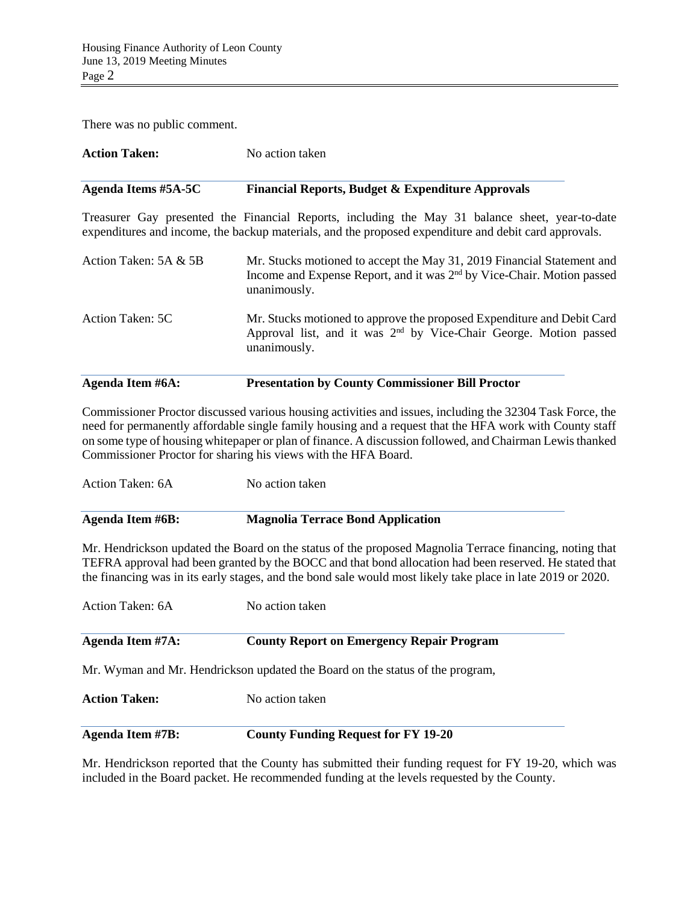There was no public comment.

| <b>Action Taken:</b>  | No action taken                                                                                                                                                                                          |  |  |
|-----------------------|----------------------------------------------------------------------------------------------------------------------------------------------------------------------------------------------------------|--|--|
| Agenda Items #5A-5C   | <b>Financial Reports, Budget &amp; Expenditure Approvals</b>                                                                                                                                             |  |  |
|                       | Treasurer Gay presented the Financial Reports, including the May 31 balance sheet, year-to-date<br>expenditures and income, the backup materials, and the proposed expenditure and debit card approvals. |  |  |
| Action Taken: 5A & 5B | Mr. Stucks motioned to accept the May 31, 2019 Financial Statement and<br>Income and Expense Report, and it was 2 <sup>nd</sup> by Vice-Chair. Motion passed<br>unanimously.                             |  |  |
| Action Taken: 5C      | Mr. Stucks motioned to approve the proposed Expenditure and Debit Card<br>Approval list, and it was 2 <sup>nd</sup> by Vice-Chair George. Motion passed<br>unanimously.                                  |  |  |
| Agenda Item #6A:      | <b>Presentation by County Commissioner Bill Proctor</b>                                                                                                                                                  |  |  |

Commissioner Proctor discussed various housing activities and issues, including the 32304 Task Force, the need for permanently affordable single family housing and a request that the HFA work with County staff on some type of housing whitepaper or plan of finance. A discussion followed, and Chairman Lewis thanked Commissioner Proctor for sharing his views with the HFA Board.

Action Taken: 6A No action taken

| <b>Agenda Item #6B:</b> | <b>Magnolia Terrace Bond Application</b> |
|-------------------------|------------------------------------------|
|                         |                                          |

Mr. Hendrickson updated the Board on the status of the proposed Magnolia Terrace financing, noting that TEFRA approval had been granted by the BOCC and that bond allocation had been reserved. He stated that the financing was in its early stages, and the bond sale would most likely take place in late 2019 or 2020.

| Action Taken: 6A                        | No action taken                                                               |  |
|-----------------------------------------|-------------------------------------------------------------------------------|--|
| Agenda Item #7A:                        | <b>County Report on Emergency Repair Program</b>                              |  |
|                                         | Mr. Wyman and Mr. Hendrickson updated the Board on the status of the program, |  |
| <b>Action Taken:</b><br>No action taken |                                                                               |  |
| <b>Agenda Item #7B:</b>                 | <b>County Funding Request for FY 19-20</b>                                    |  |

Mr. Hendrickson reported that the County has submitted their funding request for FY 19-20, which was included in the Board packet. He recommended funding at the levels requested by the County.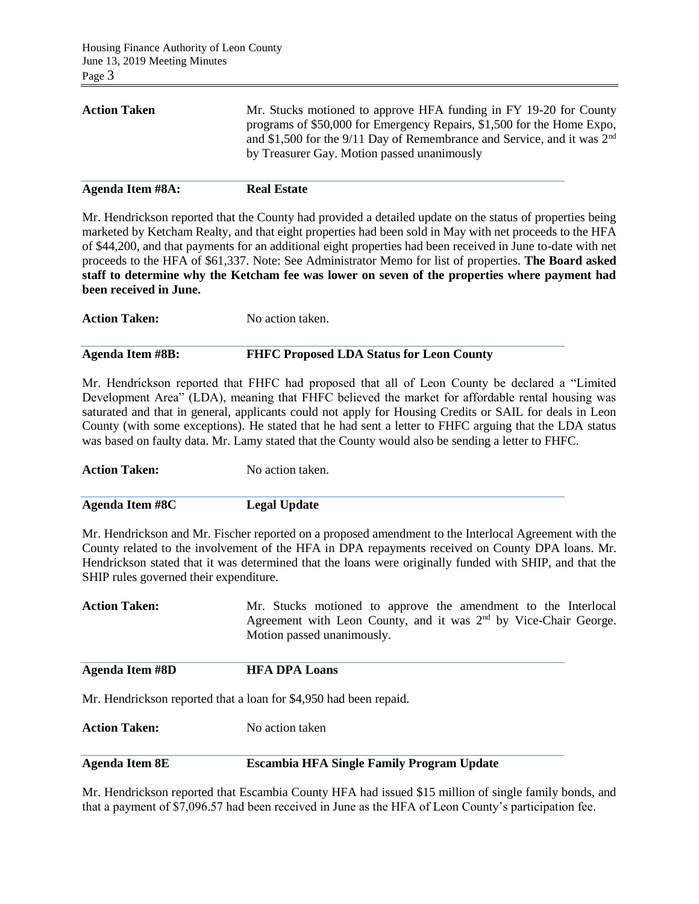| <b>Real Estate</b>                                                                                                                                                                                                                                                      |
|-------------------------------------------------------------------------------------------------------------------------------------------------------------------------------------------------------------------------------------------------------------------------|
| Mr. Stucks motioned to approve HFA funding in FY 19-20 for County<br>programs of \$50,000 for Emergency Repairs, \$1,500 for the Home Expo,<br>and \$1,500 for the 9/11 Day of Remembrance and Service, and it was $2nd$<br>by Treasurer Gay. Motion passed unanimously |
|                                                                                                                                                                                                                                                                         |

Mr. Hendrickson reported that the County had provided a detailed update on the status of properties being marketed by Ketcham Realty, and that eight properties had been sold in May with net proceeds to the HFA of \$44,200, and that payments for an additional eight properties had been received in June to-date with net proceeds to the HFA of \$61,337. Note: See Administrator Memo for list of properties. **The Board asked staff to determine why the Ketcham fee was lower on seven of the properties where payment had been received in June.**

**Action Taken:** No action taken.

### **Agenda Item #8B: FHFC Proposed LDA Status for Leon County**

Mr. Hendrickson reported that FHFC had proposed that all of Leon County be declared a "Limited Development Area" (LDA), meaning that FHFC believed the market for affordable rental housing was saturated and that in general, applicants could not apply for Housing Credits or SAIL for deals in Leon County (with some exceptions). He stated that he had sent a letter to FHFC arguing that the LDA status was based on faulty data. Mr. Lamy stated that the County would also be sending a letter to FHFC.

**Action Taken:** No action taken.

**Agenda Item #8C Legal Update**

Mr. Hendrickson and Mr. Fischer reported on a proposed amendment to the Interlocal Agreement with the County related to the involvement of the HFA in DPA repayments received on County DPA loans. Mr. Hendrickson stated that it was determined that the loans were originally funded with SHIP, and that the SHIP rules governed their expenditure.

Action Taken: Mr. Stucks motioned to approve the amendment to the Interlocal Agreement with Leon County, and it was 2<sup>nd</sup> by Vice-Chair George. Motion passed unanimously.

**Agenda Item #8D HFA DPA Loans**

Mr. Hendrickson reported that a loan for \$4,950 had been repaid.

**Action Taken:** No action taken

### **Agenda Item 8E Escambia HFA Single Family Program Update**

Mr. Hendrickson reported that Escambia County HFA had issued \$15 million of single family bonds, and that a payment of \$7,096.57 had been received in June as the HFA of Leon County's participation fee.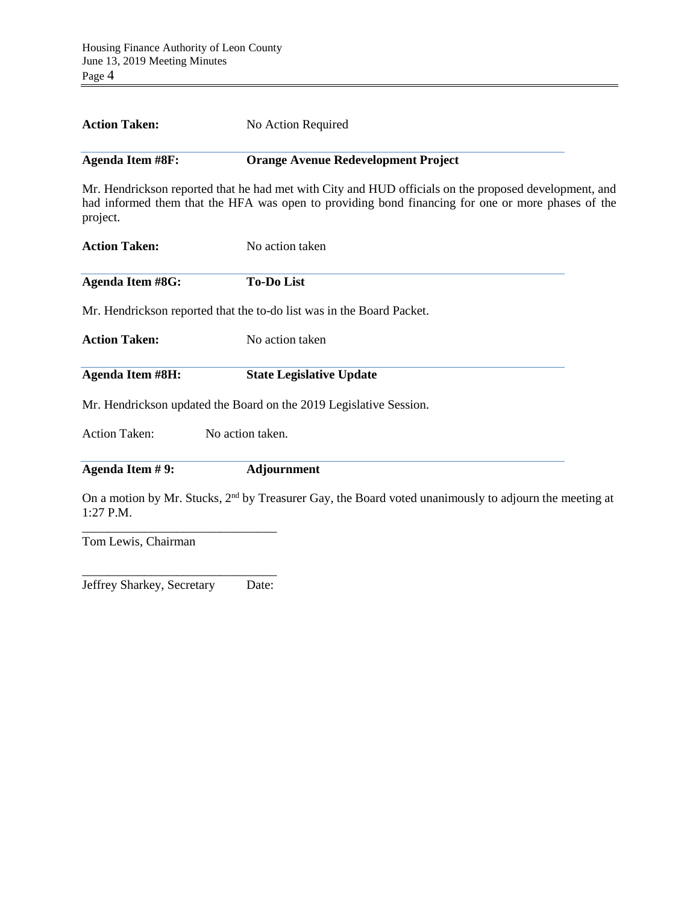| <b>Action Taken:</b>    | No Action Required                                                                                                                                                                                         |
|-------------------------|------------------------------------------------------------------------------------------------------------------------------------------------------------------------------------------------------------|
| <b>Agenda Item #8F:</b> | <b>Orange Avenue Redevelopment Project</b>                                                                                                                                                                 |
| project.                | Mr. Hendrickson reported that he had met with City and HUD officials on the proposed development, and<br>had informed them that the HFA was open to providing bond financing for one or more phases of the |
| <b>Action Taken:</b>    | No action taken                                                                                                                                                                                            |
| <b>Agenda Item #8G:</b> | <b>To-Do List</b>                                                                                                                                                                                          |
|                         | Mr. Hendrickson reported that the to-do list was in the Board Packet.                                                                                                                                      |
| <b>Action Taken:</b>    | No action taken                                                                                                                                                                                            |
| <b>Agenda Item #8H:</b> | <b>State Legislative Update</b>                                                                                                                                                                            |
|                         | Mr. Hendrickson updated the Board on the 2019 Legislative Session.                                                                                                                                         |

Action Taken: No action taken.

**Agenda Item # 9: Adjournment**

On a motion by Mr. Stucks, 2<sup>nd</sup> by Treasurer Gay, the Board voted unanimously to adjourn the meeting at 1:27 P.M.

Tom Lewis, Chairman

\_\_\_\_\_\_\_\_\_\_\_\_\_\_\_\_\_\_\_\_\_\_\_\_\_\_\_\_\_\_\_ Jeffrey Sharkey, Secretary Date:

\_\_\_\_\_\_\_\_\_\_\_\_\_\_\_\_\_\_\_\_\_\_\_\_\_\_\_\_\_\_\_